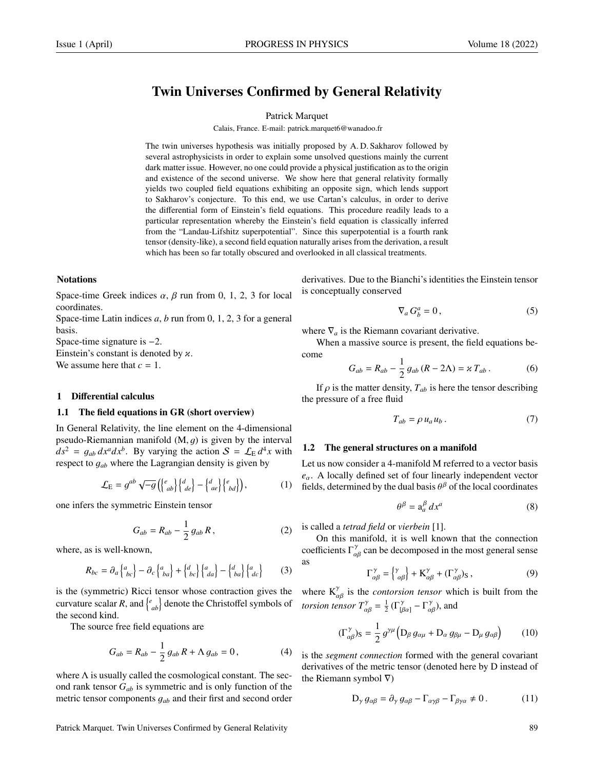# Twin Universes Confirmed by General Relativity

#### Patrick Marquet

Calais, France. E-mail: patrick.marquet6@wanadoo.fr

The twin universes hypothesis was initially proposed by A. D. Sakharov followed by several astrophysicists in order to explain some unsolved questions mainly the current dark matter issue. However, no one could provide a physical justification as to the origin and existence of the second universe. We show here that general relativity formally yields two coupled field equations exhibiting an opposite sign, which lends support to Sakharov's conjecture. To this end, we use Cartan's calculus, in order to derive the differential form of Einstein's field equations. This procedure readily leads to a particular representation whereby the Einstein's field equation is classically inferred from the "Landau-Lifshitz superpotential". Since this superpotential is a fourth rank tensor (density-like), a second field equation naturally arises from the derivation, a result which has been so far totally obscured and overlooked in all classical treatments.

#### **Notations**

Space-time Greek indices  $\alpha$ ,  $\beta$  run from 0, 1, 2, 3 for local coordinates.

Space-time Latin indices *a*, *b* run from 0, 1, 2, 3 for a general basis.

Space-time signature is −2.

Einstein's constant is denoted by  $\alpha$ . We assume here that  $c = 1$ .

#### 1 Differential calculus

#### 1.1 The field equations in GR (short overview)

In General Relativity, the line element on the 4-dimensional pseudo-Riemannian manifold  $(M, q)$  is given by the interval  $ds^2 = g_{ab} dx^a dx^b$ . By varying the action  $S = \mathcal{L}_E d^4x$  with respect to  $a$ , where the Lagrangian density is given by respect to <sup>g</sup>*ab* where the Lagrangian density is given by

$$
\mathcal{L}_{\mathrm{E}} = g^{ab} \sqrt{-g} \left( \begin{Bmatrix} e \\ ab \end{Bmatrix} \begin{Bmatrix} d \\ de \end{Bmatrix} - \begin{Bmatrix} d \\ ae \end{Bmatrix} \begin{Bmatrix} e \\ bd \end{Bmatrix} \right), \tag{1}
$$

one infers the symmetric Einstein tensor

$$
G_{ab} = R_{ab} - \frac{1}{2} g_{ab} R, \qquad (2)
$$

where, as is well-known,

$$
R_{bc} = \partial_a \begin{Bmatrix} a \\ bc \end{Bmatrix} - \partial_c \begin{Bmatrix} a \\ ba \end{Bmatrix} + \begin{Bmatrix} d \\ bc \end{Bmatrix} \begin{Bmatrix} a \\ da \end{Bmatrix} - \begin{Bmatrix} d \\ ba \end{Bmatrix} \begin{Bmatrix} a \\ dc \end{Bmatrix}
$$
 (3)

is the (symmetric) Ricci tensor whose contraction gives the curvature scalar *R*, and  $\begin{cases} e_{ab} \end{cases}$  denote the Christoffel symbols of the second kind.

The source free field equations are

$$
G_{ab} = R_{ab} - \frac{1}{2} g_{ab} R + \Lambda g_{ab} = 0, \qquad (4)
$$

where  $\Lambda$  is usually called the cosmological constant. The second rank tensor *Gab* is symmetric and is only function of the metric tensor components <sup>g</sup>*ab* and their first and second order

derivatives. Due to the Bianchi's identities the Einstein tensor is conceptually conserved

$$
\nabla_a G_b^a = 0, \qquad (5)
$$

where  $\nabla_a$  is the Riemann covariant derivative.

When a massive source is present, the field equations become

$$
G_{ab} = R_{ab} - \frac{1}{2} g_{ab} (R - 2\Lambda) = \varkappa T_{ab} . \tag{6}
$$

If  $\rho$  is the matter density,  $T_{ab}$  is here the tensor describing the pressure of a free fluid

$$
T_{ab} = \rho \, u_a u_b \,. \tag{7}
$$

## 1.2 The general structures on a manifold

Let us now consider a 4-manifold M referred to a vector basis *<sup>e</sup>*α. A locally defined set of four linearly independent vector fields, determined by the dual basis  $\theta^{\beta}$  of the local coordinates

$$
\theta^{\beta} = \mathbf{a}_{a}^{\beta} dx^{a} \tag{8}
$$

is called a *tetrad field* or *vierbein* [1].

On this manifold, it is well known that the connection coefficients  $\Gamma^{\gamma}_{\alpha\beta}$  can be decomposed in the most general sense as

$$
\Gamma^{\gamma}_{\alpha\beta} = \begin{Bmatrix} \gamma \\ \alpha\beta \end{Bmatrix} + \mathbf{K}^{\gamma}_{\alpha\beta} + (\Gamma^{\gamma}_{\alpha\beta})_{\mathbf{S}} ,
$$
 (9)

where  $K_{\alpha\beta}^{\gamma}$  is the *contorsion tensor* which is built from the *torsion tensor*  $T^{\gamma}_{\alpha\beta} = \frac{1}{2} \left( \Gamma^{\gamma}_{[\beta\alpha]} - \Gamma^{\gamma}_{\alpha\beta} \right)$ , and

$$
(\Gamma^{\gamma}_{\alpha\beta})_{\rm S} = \frac{1}{2} g^{\gamma\mu} \left( \mathcal{D}_{\beta} g_{\alpha\mu} + \mathcal{D}_{\alpha} g_{\beta\mu} - \mathcal{D}_{\mu} g_{\alpha\beta} \right) \tag{10}
$$

is the *segment connection* formed with the general covariant derivatives of the metric tensor (denoted here by D instead of the Riemann symbol ∇)

$$
D_{\gamma} g_{\alpha\beta} = \partial_{\gamma} g_{\alpha\beta} - \Gamma_{\alpha\gamma\beta} - \Gamma_{\beta\gamma\alpha} \neq 0.
$$
 (11)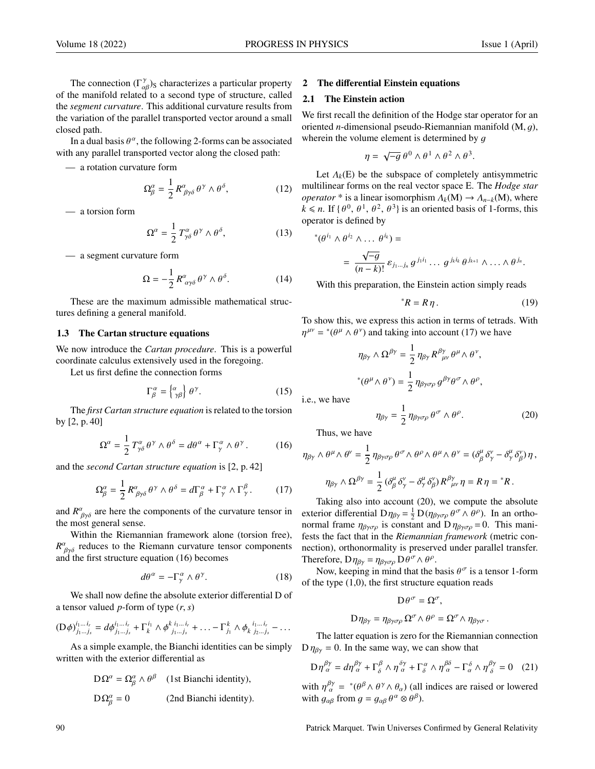The connection  $(\Gamma^{\gamma}_{\alpha\beta})_S$  characterizes a particular property<br>be manifold related to a second type of structure, called of the manifold related to a second type of structure, called the *segment curvature*. This additional curvature results from the variation of the parallel transported vector around a small closed path.

In a dual basis  $\theta^{\alpha}$ , the following 2-forms can be associated<br>a any parallel transported vector along the closed path: with any parallel transported vector along the closed path:

— a rotation curvature form

$$
\Omega^{\alpha}_{\beta} = \frac{1}{2} R^{\alpha}_{\beta\gamma\delta} \theta^{\gamma} \wedge \theta^{\delta}, \qquad (12)
$$

— a torsion form

$$
\Omega^{\alpha} = \frac{1}{2} T^{\alpha}_{\gamma\delta} \theta^{\gamma} \wedge \theta^{\delta}, \qquad (13)
$$

— a segment curvature form

$$
\Omega = -\frac{1}{2} R^{\alpha}_{\alpha\gamma\delta} \theta^{\gamma} \wedge \theta^{\delta}.
$$
 (14)

These are the maximum admissible mathematical structures defining a general manifold.

#### 1.3 The Cartan structure equations

We now introduce the *Cartan procedure*. This is a powerful coordinate calculus extensively used in the foregoing.

Let us first define the connection forms

$$
\Gamma_{\beta}^{\alpha} = \begin{Bmatrix} \alpha \\ \gamma \beta \end{Bmatrix} \theta^{\gamma}.
$$
 (15)

The *first Cartan structure equation* is related to the torsion by [2, p. 40]

$$
\Omega^{\alpha} = \frac{1}{2} T^{\alpha}_{\gamma\delta} \theta^{\gamma} \wedge \theta^{\delta} = d\theta^{\alpha} + \Gamma^{\alpha}_{\gamma} \wedge \theta^{\gamma}.
$$
 (16)

and the *second Cartan structure equation* is [2, p. 42]

$$
\Omega^{\alpha}_{\beta} = \frac{1}{2} R^{\alpha}_{\beta \gamma \delta} \theta^{\gamma} \wedge \theta^{\delta} = d\Gamma^{\alpha}_{\beta} + \Gamma^{\alpha}_{\gamma} \wedge \Gamma^{\beta}_{\gamma}.
$$
 (17)

and  $R^{\alpha}_{\beta\gamma\delta}$  are here the components of the curvature tensor in the most general sense the most general sense.

Within the Riemannian framework alone (torsion free),  $R^{\alpha}_{\beta\gamma\delta}$  reduces to the Riemann curvature tensor components<br>and the first structure equation (16) becomes and the first structure equation (16) becomes

$$
d\theta^{\alpha} = -\Gamma^{\alpha}_{\gamma} \wedge \theta^{\gamma}.
$$
 (18)

We shall now define the absolute exterior differential D of a tensor valued *<sup>p</sup>*-form of type (*r*, *<sup>s</sup>*)

$$
(\mathbf{D}\phi)^{i_1...i_r}_{j_1...j_s} = d\phi^{i_1...i_r}_{j_1...j_s} + \Gamma^{i_1}_{k} \wedge \phi^{k i_1...i_r}_{j_1...j_s} + \ldots - \Gamma^{k}_{j_1} \wedge \phi^{k i_1...i_r}_{k j_2...j_s} - \ldots
$$

As a simple example, the Bianchi identities can be simply written with the exterior differential as

$$
D\Omega^{\alpha} = \Omega^{\alpha}_{\beta} \wedge \theta^{\beta}
$$
 (1st Bianchi identity),  

$$
D\Omega^{\alpha}_{\beta} = 0
$$
 (2nd Bianchi identity).

#### 2 The differential Einstein equations

## 2.1 The Einstein action

We first recall the definition of the Hodge star operator for an oriented *<sup>n</sup>*-dimensional pseudo-Riemannian manifold (M, g), wherein the volume element is determined by  $q$ 

$$
\eta = \sqrt{-g} \, \theta^0 \wedge \theta^1 \wedge \theta^2 \wedge \theta^3.
$$

Let  $\Lambda_k(E)$  be the subspace of completely antisymmetric multilinear forms on the real vector space E. The *Hodge star operator* \* is a linear isomorphism  $\Lambda_k(M) \to \Lambda_{n-k}(M)$ , where  $k \le n$ . If  $\{\theta^0, \theta^1, \theta^2, \theta^3\}$  is an oriented basis of 1-forms, this operator is defined by

$$
(\theta^{i_1} \wedge \theta^{i_2} \wedge \dots \theta^{i_k}) =
$$
  
= 
$$
\frac{\sqrt{-g}}{(n-k)!} \varepsilon_{j_1...j_n} g^{j_1 i_1} \dots g^{j_k i_k} \theta^{j_{k+1}} \wedge \dots \wedge \theta^{j_n}.
$$

With this preparation, the Einstein action simply reads

$$
{}^*R = R\eta. \tag{19}
$$

To show this, we express this action in terms of tetrads. With  $\eta^{\mu\nu}$  = \*( $\theta^{\mu} \wedge \theta^{\nu}$ ) and taking into account (17) we have

$$
\eta_{\beta\gamma} \wedge \Omega^{\beta\gamma} = \frac{1}{2} \eta_{\beta\gamma} R^{\beta\gamma}_{\ \mu\nu} \theta^{\mu} \wedge \theta^{\nu},
$$
  

$$
^*(\theta^{\mu} \wedge \theta^{\nu}) = \frac{1}{2} \eta_{\beta\gamma\sigma\rho} g^{\beta\gamma} \theta^{\sigma} \wedge \theta^{\rho},
$$

i.e., we have

∗

$$
\eta_{\beta\gamma} = \frac{1}{2} \eta_{\beta\gamma\sigma\rho} \theta^{\sigma} \wedge \theta^{\rho}.
$$
 (20)

Thus, we have

$$
\eta_{\beta\gamma} \wedge \theta^{\mu} \wedge \theta^{\nu} = \frac{1}{2} \eta_{\beta\gamma\sigma\rho} \theta^{\sigma} \wedge \theta^{\rho} \wedge \theta^{\mu} \wedge \theta^{\nu} = (\delta^{\mu}_{\beta} \delta^{\nu}_{\gamma} - \delta^{\mu}_{\gamma} \delta^{\nu}_{\beta}) \eta ,
$$

$$
\eta_{\beta\gamma} \wedge \Omega^{\beta\gamma} = \frac{1}{2} (\delta^{\mu}_{\beta} \delta^{\nu}_{\gamma} - \delta^{\mu}_{\gamma} \delta^{\nu}_{\beta}) R^{\beta\gamma}_{\mu\nu} \eta = R \eta = {}^{*}R.
$$

Taking also into account (20), we compute the absolute exterior differential  $D\eta_{\beta\gamma} = \frac{1}{2} D(\eta_{\beta\gamma\sigma\rho} \theta^{\sigma} \wedge \theta^{\rho})$ . In an ortho-<br>normal frame  $n_{\beta}$  is constant and  $Dn_{\beta} = 0$ . This maninormal frame  $\eta_{\beta\gamma\sigma\rho}$  is constant and D  $\eta_{\beta\gamma\sigma\rho} = 0$ . This manifests the fact that in the *Riemannian framework* (metric connection), orthonormality is preserved under parallel transfer. Therefore,  $D\eta_{\beta\gamma} = \eta_{\beta\gamma\sigma\rho} D\theta^{\sigma} \wedge \theta^{\rho}$ .<br>Now keeping in mind that the l

Now, keeping in mind that the basis  $\theta^{\sigma}$  is a tensor 1-form<br>be type (1.0), the first structure equation reads of the type (1,0), the first structure equation reads

$$
\mathrm{D}\theta^{\sigma}=\Omega^{\sigma},
$$

$$
D\eta_{\beta\gamma}=\eta_{\beta\gamma\sigma\rho}\,\Omega^{\sigma}\wedge\theta^{\rho}=\Omega^{\sigma}\wedge\eta_{\beta\gamma\sigma}\,.
$$

The latter equation is zero for the Riemannian connection  $D \eta_{\beta\gamma} = 0$ . In the same way, we can show that

$$
\mathcal{D}\eta^{\beta\gamma}_{\alpha} = d\eta^{\beta\gamma}_{\alpha} + \Gamma^{\beta}_{\delta} \wedge \eta^{\delta\gamma}_{\alpha} + \Gamma^{\alpha}_{\delta} \wedge \eta^{\beta\delta}_{\alpha} - \Gamma^{\delta}_{\alpha} \wedge \eta^{\beta\gamma}_{\delta} = 0 \quad (21)
$$

with  $\eta^{\beta\gamma}_{\alpha} = {}^* (\theta^{\beta} \wedge \theta^{\gamma} \wedge \theta_{\alpha})$  (all indices are raised or lowered<br>with  $a_{\alpha}$  from  $a = a_{\alpha} \theta^{\alpha} \otimes \theta^{\beta}$ ) with  $g_{\alpha\beta}$  from  $g = g_{\alpha\beta} \theta^{\alpha} \otimes \theta^{\beta}$ ).

90 Patrick Marquet. Twin Universes Confirmed by General Relativity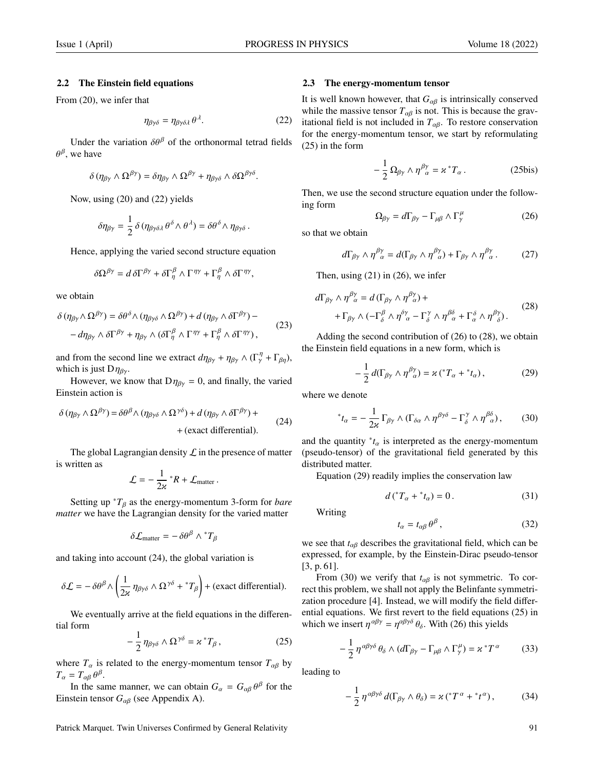#### 2.2 The Einstein field equations

From (20), we infer that

$$
\eta_{\beta\gamma\delta} = \eta_{\beta\gamma\delta\lambda} \theta^{\lambda}.
$$
 (22)

Under the variation  $\delta\theta^{\beta}$  of the orthonormal tetrad fields  $\theta^{\beta}$ , we have

$$
\delta(\eta_{\beta\gamma}\wedge\Omega^{\beta\gamma})=\delta\eta_{\beta\gamma}\wedge\Omega^{\beta\gamma}+\eta_{\beta\gamma\delta}\wedge\delta\Omega^{\beta\gamma\delta}.
$$

Now, using (20) and (22) yields

$$
\delta \eta_{\beta \gamma} = \frac{1}{2} \, \delta \, (\eta_{\beta \gamma \delta \lambda} \, \theta^\delta \wedge \theta^\lambda) = \delta \theta^\delta \wedge \eta_{\beta \gamma \delta} \, .
$$

Hence, applying the varied second structure equation

$$
\delta\Omega^{\beta\gamma} = d\,\delta\Gamma^{\beta\gamma} + \delta\Gamma^{\beta}_{\eta} \wedge \Gamma^{\eta\gamma} + \Gamma^{\beta}_{\eta} \wedge \delta\Gamma^{\eta\gamma},
$$

we obtain

$$
\delta(\eta_{\beta\gamma}\wedge\Omega^{\beta\gamma}) = \delta\theta^{\delta}\wedge(\eta_{\beta\gamma\delta}\wedge\Omega^{\beta\gamma}) + d(\eta_{\beta\gamma}\wedge\delta\Gamma^{\beta\gamma}) --d\eta_{\beta\gamma}\wedge\delta\Gamma^{\beta\gamma} + \eta_{\beta\gamma}\wedge(\delta\Gamma^{\beta}_{\eta}\wedge\Gamma^{\eta\gamma} + \Gamma^{\beta}_{\eta}\wedge\delta\Gamma^{\eta\gamma}),
$$
\n(23)

and from the second line we extract  $d\eta_{\beta\gamma} + \eta_{\beta\gamma} \wedge (\Gamma_\gamma^\eta + \Gamma_{\beta\eta})$ , which is just  $D\eta_{\beta\gamma}$ .

However, we know that  $D\eta_{\beta\gamma} = 0$ , and finally, the varied Einstein action is

$$
\delta(\eta_{\beta\gamma}\wedge\Omega^{\beta\gamma}) = \delta\theta^{\beta}\wedge(\eta_{\beta\gamma\delta}\wedge\Omega^{\gamma\delta}) + d(\eta_{\beta\gamma}\wedge\delta\Gamma^{\beta\gamma}) +
$$
  
+ (exact differential). (24)

The global Lagrangian density  $\mathcal L$  in the presence of matter is written as

$$
\mathcal{L} = -\frac{1}{2\kappa} {}^*R + \mathcal{L}_{\text{matter}}.
$$

Setting up  ${}^*T_\beta$  as the energy-momentum 3-form for *bare matter* we have the Lagrangian density for the varied matter

$$
\delta \mathcal{L}_{\text{matter}} = -\delta \theta^{\beta} \wedge {}^*T_{\beta}
$$

and taking into account (24), the global variation is

$$
\delta \mathcal{L} = -\delta \theta^{\beta} \wedge \left(\frac{1}{2\kappa} \eta_{\beta\gamma\delta} \wedge \Omega^{\gamma\delta} + {}^{*}T_{\beta}\right) + \text{(exact differential)}.
$$

We eventually arrive at the field equations in the differential form

$$
-\frac{1}{2}\eta_{\beta\gamma\delta} \wedge \Omega^{\gamma\delta} = \varkappa^* T_\beta, \qquad (25)
$$

where  $T_\alpha$  is related to the energy-momentum tensor  $T_{\alpha\beta}$  by  $T_{\alpha} = T_{\alpha\beta} \theta^{\beta}$ .<br>In the sai

In the same manner, we can obtain  $G_{\alpha} = G_{\alpha\beta} \theta^{\beta}$  for the stein tensor  $G_{\alpha}$  (see Appendix A) Einstein tensor *<sup>G</sup>*αβ (see Appendix A).

Patrick Marquet. Twin Universes Confirmed by General Relativity 91

#### 2.3 The energy-momentum tensor

It is well known however, that  $G_{\alpha\beta}$  is intrinsically conserved while the massive tensor  $T_{\alpha\beta}$  is not. This is because the gravitational field is not included in  $T_{\alpha\beta}$ . To restore conservation for the energy-momentum tensor, we start by reformulating (25) in the form

$$
-\frac{1}{2}\,\Omega_{\beta\gamma}\wedge\eta^{\beta\gamma}_{\ \alpha}=\varkappa\,^*T_\alpha\,.
$$
 (25bis)

Then, we use the second structure equation under the following form

$$
\Omega_{\beta\gamma} = d\Gamma_{\beta\gamma} - \Gamma_{\mu\beta} \wedge \Gamma_{\gamma}^{\mu} \tag{26}
$$

so that we obtain

$$
d\Gamma_{\beta\gamma} \wedge \eta^{\beta\gamma}_{\ \alpha} = d(\Gamma_{\beta\gamma} \wedge \eta^{\beta\gamma}_{\ \alpha}) + \Gamma_{\beta\gamma} \wedge \eta^{\beta\gamma}_{\ \alpha}. \tag{27}
$$

Then, using  $(21)$  in  $(26)$ , we infer

$$
d\Gamma_{\beta\gamma} \wedge \eta^{\beta\gamma}_{\ \alpha} = d\left(\Gamma_{\beta\gamma} \wedge \eta^{\beta\gamma}_{\ \alpha}\right) + + \Gamma_{\beta\gamma} \wedge \left(-\Gamma_{\delta}^{\beta} \wedge \eta^{\delta\gamma}_{\ \alpha} - \Gamma_{\delta}^{\gamma} \wedge \eta^{\beta\delta}_{\ \alpha} + \Gamma_{\alpha}^{\delta} \wedge \eta^{\beta\gamma}_{\ \delta}\right).
$$
(28)

Adding the second contribution of (26) to (28), we obtain the Einstein field equations in a new form, which is

$$
-\frac{1}{2}d(\Gamma_{\beta\gamma}\wedge\eta^{\beta\gamma})=\varkappa\left({}^*T_{\alpha}+{}^*t_{\alpha}\right),\qquad\qquad(29)
$$

where we denote

$$
^*t_{\alpha} = -\frac{1}{2\varkappa} \Gamma_{\beta\gamma} \wedge (\Gamma_{\delta\alpha} \wedge \eta^{\beta\gamma\delta} - \Gamma_{\delta}^{\gamma} \wedge \eta^{\beta\delta}), \qquad (30)
$$

and the quantity  $^*t_\alpha$  is interpreted as the energy-momentum<br>(people toneor) of the gravitational field generated by this (pseudo-tensor) of the gravitational field generated by this distributed matter.

Equation (29) readily implies the conservation law

$$
d\left(\sqrt[*]{T_{\alpha}} + \sqrt[*]{t_{\alpha}}\right) = 0. \tag{31}
$$

Writing

$$
t_{\alpha} = t_{\alpha\beta} \,\theta^{\beta} \,, \tag{32}
$$

we see that *<sup>t</sup>*αβ describes the gravitational field, which can be expressed, for example, by the Einstein-Dirac pseudo-tensor [3, p. 61].

From (30) we verify that  $t_{\alpha\beta}$  is not symmetric. To correct this problem, we shall not apply the Belinfante symmetrization procedure [4]. Instead, we will modify the field differential equations. We first revert to the field equations (25) in which we insert  $\eta^{\alpha\beta\gamma} = \eta^{\alpha\beta\gamma\delta} \theta_{\delta}$ . With (26) this yields

$$
-\frac{1}{2}\eta^{\alpha\beta\gamma\delta}\theta_{\delta}\wedge(d\Gamma_{\beta\gamma}-\Gamma_{\mu\beta}\wedge\Gamma_{\gamma}^{\mu})=\varkappa^{\ast}T^{\alpha}
$$
 (33)

leading to

$$
-\frac{1}{2}\,\eta^{\alpha\beta\gamma\delta}\,d(\Gamma_{\beta\gamma}\wedge\theta_\delta)=\varkappa\,(^*T^{\,\alpha}+^*t^{\,\alpha})\,,\qquad\qquad(34)
$$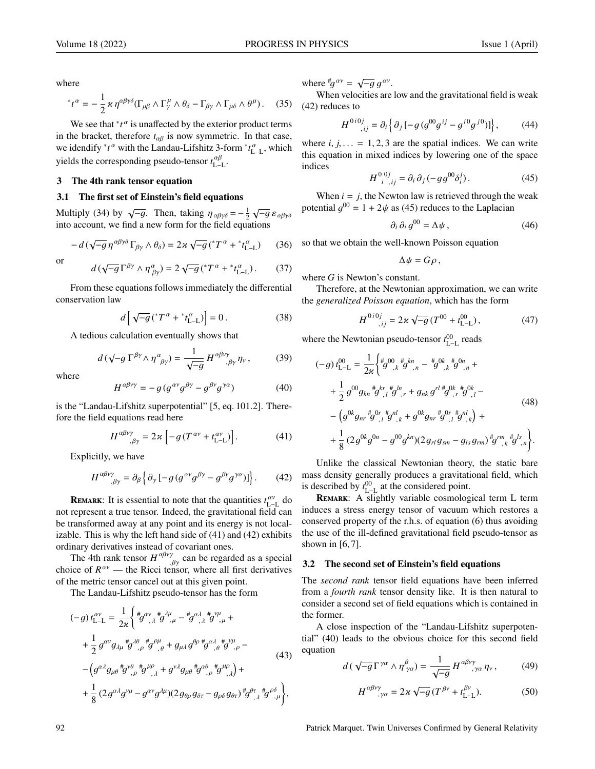where

$$
{}^*t^{\alpha} = -\frac{1}{2} \varkappa \eta^{\alpha\beta\gamma\delta} (\Gamma_{\mu\beta} \wedge \Gamma^{\mu}_{\gamma} \wedge \theta_{\delta} - \Gamma_{\beta\gamma} \wedge \Gamma_{\mu\delta} \wedge \theta^{\mu}). \tag{35}
$$

We see that  $\iota^*t^\alpha$  is unaffected by the exterior product terms in the bracket, therefore  $t_{\alpha\beta}$  is now symmetric. In that case, we idendify  $^*t^{\alpha}$  with the Landau-Lifshitz 3-form  $^*t^{\alpha}_{L-L}$ , which yields the corresponding pseudo-tensor  $t_{L-L}^{\alpha\beta}$ .

## 3 The 4th rank tensor equation

## 3.1 The first set of Einstein's field equations

Multiply (34) by  $\sqrt{-g}$ . Then, taking  $\eta_{\alpha\beta\gamma\delta} = -\frac{1}{2}$ <br>into account we find a new form for the field equal  $\sqrt{-g}\,\varepsilon_{\alpha\beta\gamma\delta}$ into account, we find a new form for the field equations

$$
-d\left(\sqrt{-g}\,\eta^{\alpha\beta\gamma\delta}\,\Gamma_{\beta\gamma}\wedge\theta_{\delta}\right)=2\varkappa\,\sqrt{-g}\left({^*T}^{\,\alpha}+{^*t}_{\rm L-L}^{\,\alpha}\right)\qquad(36)
$$

or

$$
d\left(\sqrt{-g}\,\Gamma^{\beta\gamma}\wedge\eta^{\alpha}_{\beta\gamma}\right)=2\sqrt{-g}\left({^*T^{\alpha}}+{^*t^{\alpha}_{\text{L-L}}}\right). \tag{37}
$$

From these equations follows immediately the differential conservation law

$$
d\left[\sqrt{-g}\left(\mathrm{d}^*T^{\alpha}+\mathrm{d}^*t_{\mathrm{L}-\mathrm{L}}^{\alpha}\right)\right]=0\,. \tag{38}
$$

A tedious calculation eventually shows that

$$
d\left(\sqrt{-g}\,\Gamma^{\beta\gamma}\wedge\eta^{\alpha}_{\ \beta\gamma}\right) = \frac{1}{\sqrt{-g}}\,H^{\alpha\beta\nu\gamma}_{\quad,\beta\gamma}\,\eta_{\nu}\,,\tag{39}
$$

where

$$
H^{\alpha\beta\nu\gamma} = -g \left( g^{\alpha\nu} g^{\beta\gamma} - g^{\beta\nu} g^{\gamma\alpha} \right) \tag{40}
$$

is the "Landau-Lifshitz superpotential" [5, eq. 101.2]. Therefore the field equations read here

$$
H^{\alpha\beta\nu\gamma}_{\quad,\beta\gamma} = 2\varkappa \left[ -g \left( T^{\alpha\nu} + t_{\text{L-L}}^{\alpha\nu} \right) \right]. \tag{41}
$$

Explicitly, we have

$$
H^{\alpha\beta\nu\gamma}_{\quad,\beta\gamma} = \partial_{\beta} \left\{ \partial_{\gamma} \left[ -g \left( g^{\alpha\nu} g^{\beta\gamma} - g^{\beta\nu} g^{\gamma\alpha} \right) \right] \right\}.
$$
 (42)

**REMARK:** It is essential to note that the quantities  $t_{L-L}^{\alpha\nu}$  do not represent a true tensor. Indeed, the gravitational field can be transformed away at any point and its energy is not localizable. This is why the left hand side of (41) and (42) exhibits ordinary derivatives instead of covariant ones.

The 4th rank tensor  $H^{\alpha p \gamma}$ ,  $\beta \gamma$  can be regarded as a special choice of  $R^{\alpha \gamma}$  — the Ricci tensor, where all first derivatives of the metric tensor cancel out at this given point.

The Landau-Lifshitz pseudo-tensor has the form

$$
(-g) t_{\mathsf{L}-\mathsf{L}}^{\alpha \nu} = \frac{1}{2\varkappa} \left\{ \, {}^{\#}g^{\alpha \nu}{}_{,\lambda} {}^{\#}g^{\lambda \mu}{}_{,\mu} - {}^{\#}g^{\alpha \lambda}{}_{,\lambda} {}^{\#}g^{\nu \mu}{}_{,\mu} + \\ + \frac{1}{2} \, g^{\alpha \nu} g_{\lambda \mu} {}^{\#}g^{\lambda \beta}{}_{,\rho} {}^{\#}g^{\rho \mu}{}_{,\theta} + g_{\mu \lambda} g^{\beta \rho} {}^{\#}g^{\alpha \lambda}{}_{,\theta} {}^{\#}g^{\nu \mu}{}_{,\rho} - \\ - \left( g^{\alpha \lambda} g_{\mu \theta} {}^{\#}g^{\nu \theta}{}_{,\rho} {}^{\#}g^{\mu \rho}{}_{,\lambda} + g^{\nu \lambda} g_{\mu \theta} {}^{\#}g^{\alpha \theta}{}_{,\rho} {}^{\#}g^{\mu \rho}{}_{,\lambda} \right) + \\ + \frac{1}{8} \left( 2 \, g^{\alpha \lambda} g^{\nu \mu} - g^{\alpha \nu} g^{\lambda \mu} \right) \left( 2 \, g_{\theta \rho} \, g_{\delta \tau} - g_{\rho \delta} \, g_{\theta \tau} \right) {}^{\#}g^{\theta \tau}{}_{,\lambda} {}^{\#}g^{\rho \delta}{}_{,\mu} \right\},
$$

where  $^{\#}g^{\alpha\nu} = \sqrt{-g} g^{\alpha\nu}$ .<br>When velocities are

When velocities are low and the gravitational field is weak (42) reduces to

$$
H^{0i0j}_{i,j} = \partial_i \left\{ \partial_j \left[ -g \left( g^{00} g^{ij} - g^{i0} g^{j0} \right) \right] \right\},\tag{44}
$$

where  $i, j, \ldots = 1, 2, 3$  are the spatial indices. We can write this equation in mixed indices by lowering one of the space indices

$$
H^{0\,0j}_{\ \ i\ ,\ ij} = \partial_i \,\partial_j \, (-g g^{00} \delta_i^j) \,. \tag{45}
$$

When  $i = j$ , the Newton law is retrieved through the weak potential  $g^{00} = 1 + 2\psi$  as (45) reduces to the Laplacian

$$
\partial_i \partial_i g^{00} = \Delta \psi \,, \tag{46}
$$

so that we obtain the well-known Poisson equation

$$
\Delta \psi = G \rho \,,
$$

where *G* is Newton's constant.

Therefore, at the Newtonian approximation, we can write the *generalized Poisson equation*, which has the form

$$
H^{0i0j}_{i,j} = 2\kappa \sqrt{-g} (T^{00} + t_{\text{L-L}}^{00}), \qquad (47)
$$

where the Newtonian pseudo-tensor  $t_{L-L}^{00}$  reads

$$
(-g) t_{L-L}^{00} = \frac{1}{2\kappa} \left\{ {}^{4}_{9} O^{0}_{k} {}^{4}_{k} g^{k n}_{n} - {}^{4}_{9} O^{0}_{k} {}^{4}_{k} g^{0 n}_{n} + \right.
$$
  
\n
$$
+ \frac{1}{2} g^{00} g_{k n} {}^{4}_{9} g^{k r}_{l} {}^{4}_{l} g^{l n}_{l} + g_{n k} g^{r l} {}^{4}_{9} O^{k}_{k} {}^{4}_{l} g^{0 k}_{l} -
$$
  
\n
$$
- \left( g^{0k} g_{n r} {}^{4}_{9} O^{r}_{l} {}^{4}_{l} g^{n l}_{l} + g^{0k} g_{n r} {}^{4}_{9} O^{r} {}^{4}_{l} g^{n l}_{l} \right) +
$$
  
\n
$$
+ \frac{1}{8} (2 g^{0k} g^{0n} - g^{00} g^{k n}) (2 g_{r l} g_{s m} - g_{l s} g_{r m}) {}^{4}_{9} f^{r m} {}^{4}_{k} g^{l s}_{l} .
$$
  
\n(48)

Unlike the classical Newtonian theory, the static bare mass density generally produces a gravitational field, which is described by  $t_{L-L}^{00}$  at the considered point.

REMARK: A slightly variable cosmological term L term induces a stress energy tensor of vacuum which restores a conserved property of the r.h.s. of equation (6) thus avoiding the use of the ill-defined gravitational field pseudo-tensor as shown in  $[6, 7]$ .

## 3.2 The second set of Einstein's field equations

The *second rank* tensor field equations have been inferred from a *fourth rank* tensor density like. It is then natural to consider a second set of field equations which is contained in the former.

A close inspection of the "Landau-Lifshitz superpotential" (40) leads to the obvious choice for this second field equation

$$
d\left(\sqrt{-g}\,\Gamma^{\gamma\alpha}\wedge\eta^{\beta}_{\gamma\alpha}\right) = \frac{1}{\sqrt{-g}}\,H^{\alpha\beta\nu\gamma}_{\quad,\gamma\alpha}\,\eta_{\nu}\,,\tag{49}
$$

$$
H^{\alpha\beta\nu\gamma}_{\ \ \, ,\gamma\alpha} = 2\varkappa\sqrt{-g}\,(T^{\beta\nu} + t_{\text{L-L}}^{\beta\nu}).\tag{50}
$$

92 Patrick Marquet. Twin Universes Confirmed by General Relativity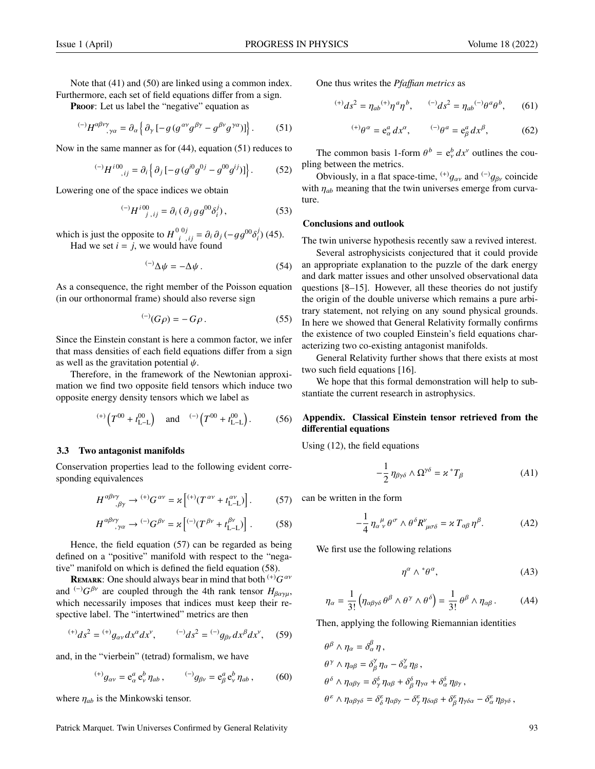Note that  $(41)$  and  $(50)$  are linked using a common index. Furthermore, each set of field equations differ from a sign.

PROOF: Let us label the "negative" equation as

$$
^{(-)}H^{\alpha\beta\nu\gamma}_{\quad;\gamma\alpha} = \partial_{\alpha}\left\{\partial_{\gamma}\left[-g\left(g^{\alpha\nu}g^{\beta\gamma} - g^{\beta\nu}g^{\gamma\alpha}\right)\right]\right\}.
$$
 (51)

Now in the same manner as for (44), equation (51) reduces to

$$
^{(-)}H^{i00}_{\quad ij} = \partial_i \left\{ \partial_j \left[ -g \left( g^{i0} g^{0j} - g^{00} g^{ij} \right) \right] \right\}.
$$
 (52)

Lowering one of the space indices we obtain

$$
^{(-)}H^{i00}_{j\; ,\; ij} = \partial_i (\partial_j g g^{00} \delta_i^j), \qquad (53)
$$

which is just the opposite to  $H^{0\,0j}_{i,j,j} = \partial_i \partial_j (-gg^{00}\delta_i^j)$ <br>
Had we set  $i = i$  we would have found  $\binom{j}{i}$  (45). Had we set  $i = j$ , we would have found

$$
^{(-)}\Delta\psi = -\Delta\psi\,. \tag{54}
$$

As a consequence, the right member of the Poisson equation (in our orthonormal frame) should also reverse sign

$$
^{(-)}(G\rho) = -G\rho \,. \tag{55}
$$

Since the Einstein constant is here a common factor, we infer that mass densities of each field equations differ from a sign as well as the gravitation potential  $\psi$ .

Therefore, in the framework of the Newtonian approximation we find two opposite field tensors which induce two opposite energy density tensors which we label as

$$
(+)
$$
 $(T^{00} + t_{L-L}^{00})$  and  $(-)$  $(T^{00} + t_{L-L}^{00})$ . (56)

## 3.3 Two antagonist manifolds

Conservation properties lead to the following evident corresponding equivalences

$$
H^{\alpha\beta\nu\gamma}_{\ \ \, ,\beta\gamma} \to {}^{(+)}G^{\alpha\nu} = \varkappa \left[ {}^{(+)}(T^{\alpha\nu} + t_{\text{L-L}}^{\alpha\nu}) \right]. \tag{57}
$$

$$
H^{\alpha\beta\nu\gamma}_{\quad;\gamma\alpha} \to {}^{(-)}G^{\beta\nu} = \varkappa \left[ {}^{(-)}(T^{\beta\nu} + t_{\text{L-L}}^{\beta\nu}) \right]. \tag{58}
$$

Hence, the field equation (57) can be regarded as being defined on a "positive" manifold with respect to the "negative" manifold on which is defined the field equation (58).

REMARK: One should always bear in mind that both <sup>(+)</sup>*G<sup>aν</sup>* and  $\left(\frac{-1}{G} \beta^y\right)$  are coupled through the 4th rank tensor  $H_{\beta\alpha\gamma\mu}$ , which necessarily imposes that indices must keep their respective label. The "intertwined" metrics are then

$$
^{(+)}ds^2 = {^{(+)}}g_{\alpha\nu}dx^{\alpha}dx^{\nu}, \qquad {^{(-)}}ds^2 = {^{(-)}}g_{\beta\nu}dx^{\beta}dx^{\nu}, \quad (59)
$$

and, in the "vierbein" (tetrad) formalism, we have

$$
^{(+)}g_{\alpha\nu} = e^a_\alpha \, e^b_\nu \, \eta_{ab} \,, \qquad ^{(-)}g_{\beta\nu} = e^a_\beta \, e^b_\nu \, \eta_{ab} \,, \tag{60}
$$

where  $\eta_{ab}$  is the Minkowski tensor.

Patrick Marquet. Twin Universes Confirmed by General Relativity 93

One thus writes the *Pfa*ffi*an metrics* as

$$
^{(+)}ds^2 = \eta_{ab}^{(+)}\eta^a\eta^b, \qquad ^{(-)}ds^2 = \eta_{ab}^{(-)}\theta^a\theta^b, \qquad (61)
$$

$$
^{(+)}\theta^{\alpha} = e^a_{\alpha} dx^{\alpha}, \qquad ^{(-)}\theta^a = e^a_{\beta} dx^{\beta}, \qquad (62)
$$

The common basis 1-form  $\theta^b = e^b_y dx^v$  outlines the cou-<br>*a* between the metrics pling between the metrics.

Obviously, in a flat space-time,  $^{(+)}g_{\alpha\nu}$  and  $^{(-)}g_{\beta\nu}$  coincide with  $\eta_{ab}$  meaning that the twin universes emerge from curvature.

#### Conclusions and outlook

The twin universe hypothesis recently saw a revived interest.

Several astrophysicists conjectured that it could provide an appropriate explanation to the puzzle of the dark energy and dark matter issues and other unsolved observational data questions [8–15]. However, all these theories do not justify the origin of the double universe which remains a pure arbitrary statement, not relying on any sound physical grounds. In here we showed that General Relativity formally confirms the existence of two coupled Einstein's field equations characterizing two co-existing antagonist manifolds.

General Relativity further shows that there exists at most two such field equations [16].

We hope that this formal demonstration will help to substantiate the current research in astrophysics.

# Appendix. Classical Einstein tensor retrieved from the differential equations

Using (12), the field equations

$$
-\frac{1}{2}\,\eta_{\beta\gamma\delta}\wedge\Omega^{\gamma\delta}=\varkappa^*T_\beta\tag{A1}
$$

can be written in the form

$$
-\frac{1}{4}\,\eta_{\alpha\;\nu}^{\;\mu}\,\theta^{\,\sigma}\wedge\theta^{\,\delta}R^{\nu}_{\;\mu\sigma\delta} = \varkappa\,T_{\alpha\beta}\,\eta^{\beta}.\tag{A2}
$$

We first use the following relations

$$
\eta^{\alpha} \wedge {}^{*}\theta^{\alpha}, \qquad (A3)
$$

$$
\eta_{\alpha} = \frac{1}{3!} \left( \eta_{\alpha\beta\gamma\delta} \theta^{\beta} \wedge \theta^{\gamma} \wedge \theta^{\delta} \right) = \frac{1}{3!} \theta^{\beta} \wedge \eta_{\alpha\beta} . \tag{A4}
$$

Then, applying the following Riemannian identities

$$
\theta^{\beta} \wedge \eta_{\alpha} = \delta_{\alpha}^{\beta} \eta ,
$$
  
\n
$$
\theta^{\gamma} \wedge \eta_{\alpha\beta} = \delta_{\beta}^{\gamma} \eta_{\alpha} - \delta_{\alpha}^{\gamma} \eta_{\beta} ,
$$
  
\n
$$
\theta^{\delta} \wedge \eta_{\alpha\beta\gamma} = \delta_{\gamma}^{\delta} \eta_{\alpha\beta} + \delta_{\beta}^{\delta} \eta_{\gamma\alpha} + \delta_{\alpha}^{\delta} \eta_{\beta\gamma} ,
$$
  
\n
$$
\theta^{\varepsilon} \wedge \eta_{\alpha\beta\gamma\delta} = \delta_{\delta}^{\varepsilon} \eta_{\alpha\beta\gamma} - \delta_{\gamma}^{\varepsilon} \eta_{\delta\alpha\beta} + \delta_{\beta}^{\varepsilon} \eta_{\gamma\delta\alpha} - \delta_{\alpha}^{\varepsilon} \eta_{\beta\gamma\delta} ,
$$